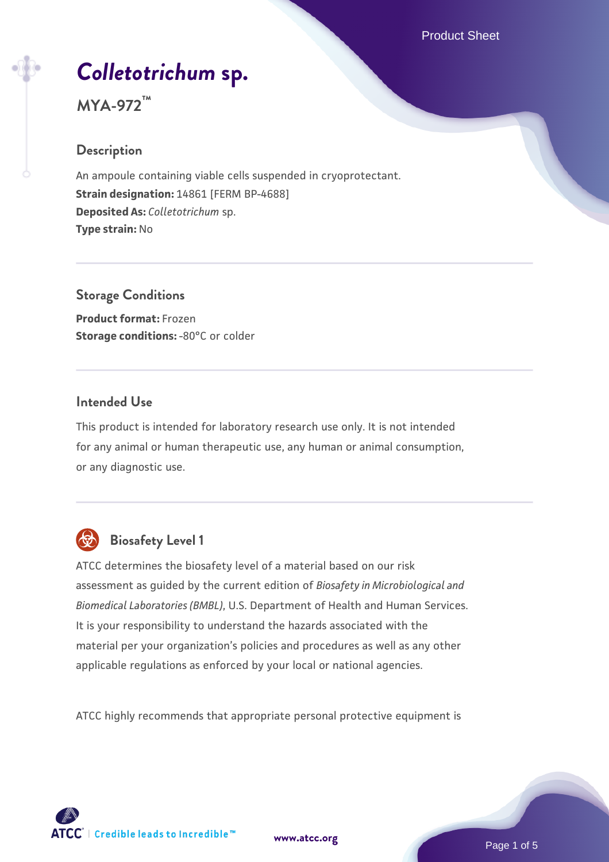# *[Colletotrichum](https://www.atcc.org/products/mya-972)* **[sp.](https://www.atcc.org/products/mya-972)**

# **MYA-972™**

# **Description**

An ampoule containing viable cells suspended in cryoprotectant. **Strain designation:** 14861 [FERM BP-4688] **Deposited As:** *Colletotrichum* sp. **Type strain:** No

**Storage Conditions Product format:** Frozen **Storage conditions: -80°C or colder** 

### **Intended Use**

This product is intended for laboratory research use only. It is not intended for any animal or human therapeutic use, any human or animal consumption, or any diagnostic use.



# **Biosafety Level 1**

ATCC determines the biosafety level of a material based on our risk assessment as guided by the current edition of *Biosafety in Microbiological and Biomedical Laboratories (BMBL)*, U.S. Department of Health and Human Services. It is your responsibility to understand the hazards associated with the material per your organization's policies and procedures as well as any other applicable regulations as enforced by your local or national agencies.

ATCC highly recommends that appropriate personal protective equipment is

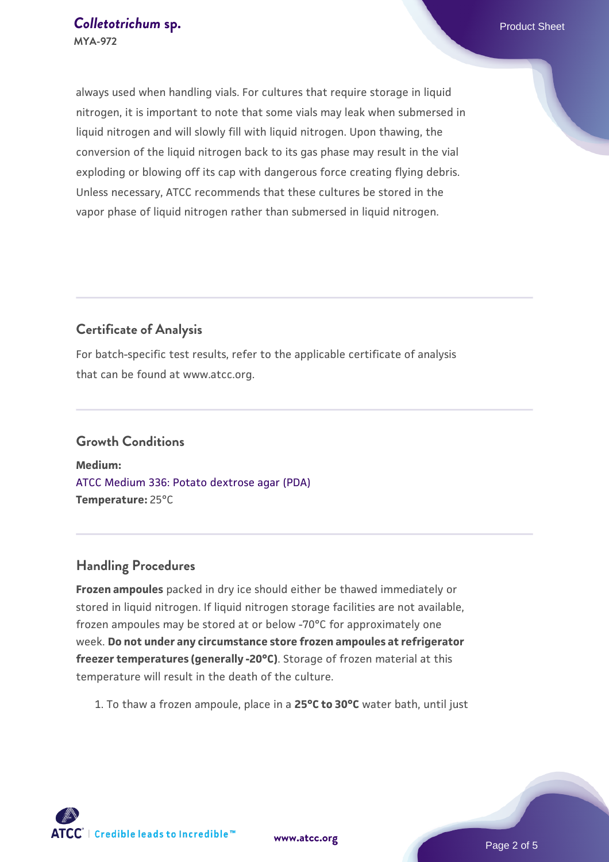always used when handling vials. For cultures that require storage in liquid nitrogen, it is important to note that some vials may leak when submersed in liquid nitrogen and will slowly fill with liquid nitrogen. Upon thawing, the conversion of the liquid nitrogen back to its gas phase may result in the vial exploding or blowing off its cap with dangerous force creating flying debris. Unless necessary, ATCC recommends that these cultures be stored in the vapor phase of liquid nitrogen rather than submersed in liquid nitrogen.

# **Certificate of Analysis**

For batch-specific test results, refer to the applicable certificate of analysis that can be found at www.atcc.org.

# **Growth Conditions**

**Medium:**  [ATCC Medium 336: Potato dextrose agar \(PDA\)](https://www.atcc.org/-/media/product-assets/documents/microbial-media-formulations/3/3/6/atcc-medium-336.pdf?rev=d9160ad44d934cd8b65175461abbf3b9) **Temperature:** 25°C

## **Handling Procedures**

**Frozen ampoules** packed in dry ice should either be thawed immediately or stored in liquid nitrogen. If liquid nitrogen storage facilities are not available, frozen ampoules may be stored at or below -70°C for approximately one week. **Do not under any circumstance store frozen ampoules at refrigerator freezer temperatures (generally -20°C)**. Storage of frozen material at this temperature will result in the death of the culture.

1. To thaw a frozen ampoule, place in a **25°C to 30°C** water bath, until just

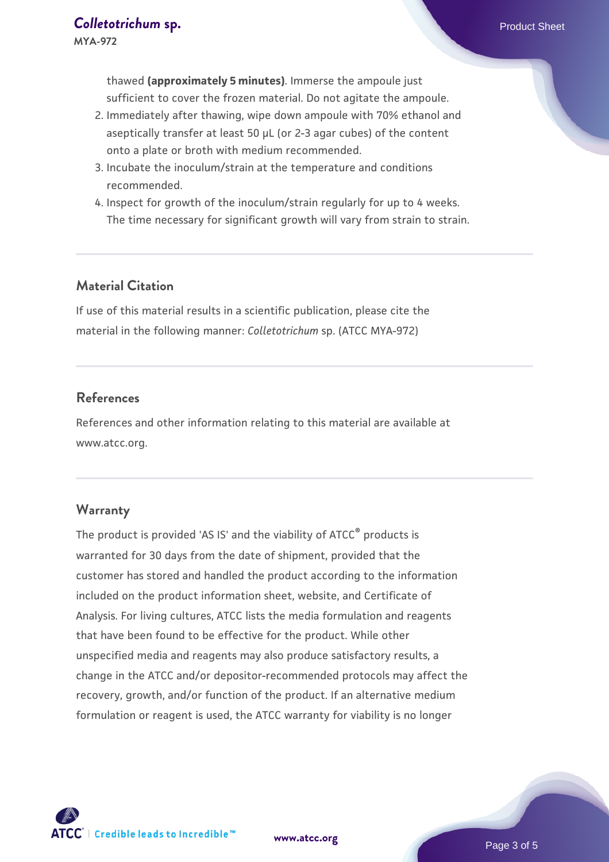thawed **(approximately 5 minutes)**. Immerse the ampoule just sufficient to cover the frozen material. Do not agitate the ampoule.

- 2. Immediately after thawing, wipe down ampoule with 70% ethanol and aseptically transfer at least 50 µL (or 2-3 agar cubes) of the content onto a plate or broth with medium recommended.
- 3. Incubate the inoculum/strain at the temperature and conditions recommended.
- 4. Inspect for growth of the inoculum/strain regularly for up to 4 weeks. The time necessary for significant growth will vary from strain to strain.

#### **Material Citation**

If use of this material results in a scientific publication, please cite the material in the following manner: *Colletotrichum* sp. (ATCC MYA-972)

#### **References**

References and other information relating to this material are available at www.atcc.org.

#### **Warranty**

The product is provided 'AS IS' and the viability of ATCC® products is warranted for 30 days from the date of shipment, provided that the customer has stored and handled the product according to the information included on the product information sheet, website, and Certificate of Analysis. For living cultures, ATCC lists the media formulation and reagents that have been found to be effective for the product. While other unspecified media and reagents may also produce satisfactory results, a change in the ATCC and/or depositor-recommended protocols may affect the recovery, growth, and/or function of the product. If an alternative medium formulation or reagent is used, the ATCC warranty for viability is no longer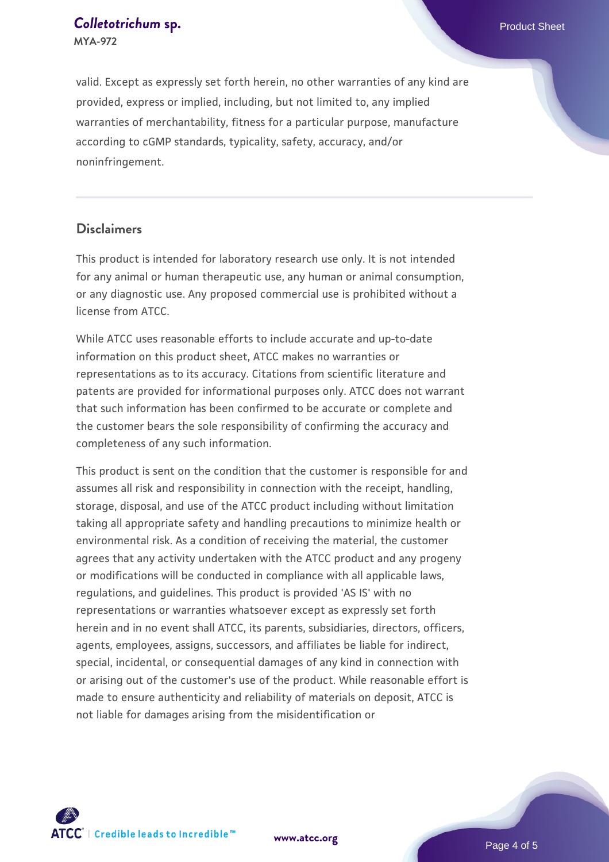#### **[Colletotrichum](https://www.atcc.org/products/mya-972) [sp.](https://www.atcc.org/products/mya-972) Colletotrichum** sp. **MYA-972**

valid. Except as expressly set forth herein, no other warranties of any kind are provided, express or implied, including, but not limited to, any implied warranties of merchantability, fitness for a particular purpose, manufacture according to cGMP standards, typicality, safety, accuracy, and/or noninfringement.

#### **Disclaimers**

This product is intended for laboratory research use only. It is not intended for any animal or human therapeutic use, any human or animal consumption, or any diagnostic use. Any proposed commercial use is prohibited without a license from ATCC.

While ATCC uses reasonable efforts to include accurate and up-to-date information on this product sheet, ATCC makes no warranties or representations as to its accuracy. Citations from scientific literature and patents are provided for informational purposes only. ATCC does not warrant that such information has been confirmed to be accurate or complete and the customer bears the sole responsibility of confirming the accuracy and completeness of any such information.

This product is sent on the condition that the customer is responsible for and assumes all risk and responsibility in connection with the receipt, handling, storage, disposal, and use of the ATCC product including without limitation taking all appropriate safety and handling precautions to minimize health or environmental risk. As a condition of receiving the material, the customer agrees that any activity undertaken with the ATCC product and any progeny or modifications will be conducted in compliance with all applicable laws, regulations, and guidelines. This product is provided 'AS IS' with no representations or warranties whatsoever except as expressly set forth herein and in no event shall ATCC, its parents, subsidiaries, directors, officers, agents, employees, assigns, successors, and affiliates be liable for indirect, special, incidental, or consequential damages of any kind in connection with or arising out of the customer's use of the product. While reasonable effort is made to ensure authenticity and reliability of materials on deposit, ATCC is not liable for damages arising from the misidentification or



**[www.atcc.org](http://www.atcc.org)**

Page 4 of 5